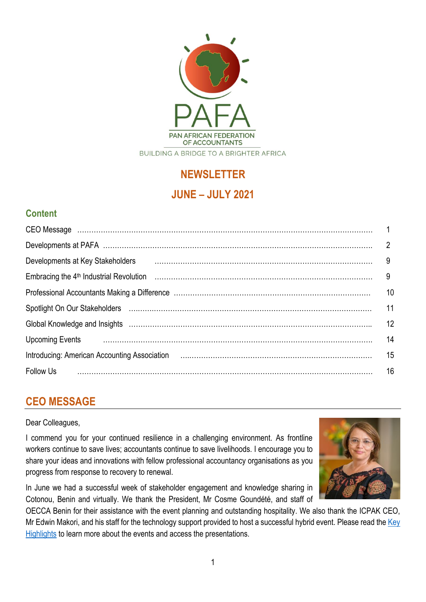

# **NEWSLETTER JUNE – JULY 2021**

## **Content**

| Developments at Key Stakeholders                                                                                                                                                                                                                                                                                                                                                                                                                                    | 9  |
|---------------------------------------------------------------------------------------------------------------------------------------------------------------------------------------------------------------------------------------------------------------------------------------------------------------------------------------------------------------------------------------------------------------------------------------------------------------------|----|
|                                                                                                                                                                                                                                                                                                                                                                                                                                                                     | 9  |
|                                                                                                                                                                                                                                                                                                                                                                                                                                                                     | 10 |
|                                                                                                                                                                                                                                                                                                                                                                                                                                                                     | 11 |
| Global Knowledge and Insights (and continuum continuum continuum control and the control of the control of the                                                                                                                                                                                                                                                                                                                                                      | 12 |
|                                                                                                                                                                                                                                                                                                                                                                                                                                                                     | 14 |
| Introducing: American Accounting Association (and the continuum continuum control of the control of the control of the control of the control of the control of the control of the control of the control of the control of th                                                                                                                                                                                                                                      | 15 |
| $\begin{minipage}{0.5\textwidth} \begin{tabular}{ l l l } \hline \multicolumn{1}{ l l } \hline \multicolumn{1}{ l } \multicolumn{1}{ l } \hline \multicolumn{1}{ l } \multicolumn{1}{ l } \multicolumn{1}{ l } \multicolumn{1}{ l } \multicolumn{1}{ l } \multicolumn{1}{ l } \multicolumn{1}{ l } \multicolumn{1}{ l } \multicolumn{1}{ l } \multicolumn{1}{ l } \multicolumn{1}{ l } \multicolumn{1}{ l } \multicolumn{1}{ l } \multicolumn{$<br><b>Follow Us</b> | 16 |

# **CEO MESSAGE**

Dear Colleagues,

I commend you for your continued resilience in a challenging environment. As frontline workers continue to save lives; accountants continue to save livelihoods. I encourage you to share your ideas and innovations with fellow professional accountancy organisations as you progress from response to recovery to renewal.

In June we had a successful week of stakeholder engagement and knowledge sharing in Cotonou, Benin and virtually. We thank the President, Mr Cosme Goundété, and staff of

OECCA Benin for their assistance with the event planning and outstanding hospitality. We also thank the ICPAK CEO, Mr Edwin Makori, and his staff for the technology support provided to host a successful hybrid event. Please read the Key [Highlights](https://drive.google.com/file/d/19TH-XaBr8CqluhFm-tS_yX3OplVNBfDo/view?usp=sharing) to learn more about the events and access the presentations.

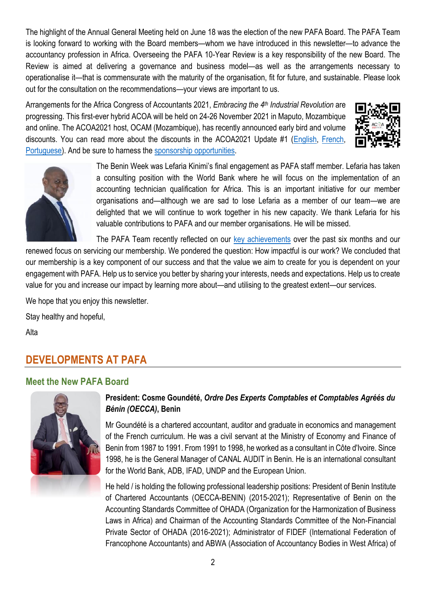The highlight of the Annual General Meeting held on June 18 was the election of the new PAFA Board. The PAFA Team is looking forward to working with the Board members—whom we have introduced in this newsletter—to advance the accountancy profession in Africa. Overseeing the PAFA 10-Year Review is a key responsibility of the new Board. The Review is aimed at delivering a governance and business model—as well as the arrangements necessary to operationalise it—that is commensurate with the maturity of the organisation, fit for future, and sustainable. Please look out for the consultation on the recommendations—your views are important to us.

Arrangements for the Africa Congress of Accountants 2021, *Embracing the 4 th Industrial Revolution* are progressing. This first-ever hybrid ACOA will be held on 24-26 November 2021 in Maputo, Mozambique and online. The ACOA2021 host, OCAM (Mozambique), has recently announced early bird and volume discounts. You can read more about the discounts in the ACOA2021 Update #1 [\(English,](https://drive.google.com/file/d/11muPYI4oVZmgVM-rwg4pZASk0Gk6S_yV/view?usp=sharing) [French,](https://drive.google.com/file/d/1TiTM5m1q8vxEUuDOcLxZUillXJpuM4mj/view?usp=sharing) [Portuguese\)](https://drive.google.com/file/d/1LEl9Oa7PUq2DzH8w337djMSbaj87zp80/view?usp=sharing). And be sure to harness the [sponsorship opportunities.](https://acoa2021.com/sponsor-brochure/)





The Benin Week was Lefaria Kinimi's final engagement as PAFA staff member. Lefaria has taken a consulting position with the World Bank where he will focus on the implementation of an accounting technician qualification for Africa. This is an important initiative for our member organisations and—although we are sad to lose Lefaria as a member of our team—we are delighted that we will continue to work together in his new capacity. We thank Lefaria for his valuable contributions to PAFA and our member organisations. He will be missed.

The PAFA Team recently reflected on our [key achievements](https://drive.google.com/file/d/1l0L5pnjOakq8QQIvnuarREPTCYHPGHuA/view?usp=sharing) over the past six months and our

renewed focus on servicing our membership. We pondered the question: How impactful is our work? We concluded that our membership is a key component of our success and that the value we aim to create for you is dependent on your engagement with PAFA. Help us to service you better by sharing your interests, needs and expectations. Help us to create value for you and increase our impact by learning more about—and utilising to the greatest extent—our services.

We hope that you enjoy this newsletter.

Stay healthy and hopeful,

Alta

# **DEVELOPMENTS AT PAFA**

### **Meet the New PAFA Board**



### **President: Cosme Goundété,** *Ordre Des Experts Comptables et Comptables Agréés du Bénin (OECCA)***, Benin**

Mr Goundété is a chartered accountant, auditor and graduate in economics and management of the French curriculum. He was a civil servant at the Ministry of Economy and Finance of Benin from 1987 to 1991. From 1991 to 1998, he worked as a consultant in Côte d'Ivoire. Since 1998, he is the General Manager of CANAL AUDIT in Benin. He is an international consultant for the World Bank, ADB, IFAD, UNDP and the European Union.

He held / is holding the following professional leadership positions: President of Benin Institute of Chartered Accountants (OECCA-BENIN) (2015-2021); Representative of Benin on the Accounting Standards Committee of OHADA (Organization for the Harmonization of Business Laws in Africa) and Chairman of the Accounting Standards Committee of the Non-Financial Private Sector of OHADA (2016-2021); Administrator of FIDEF (International Federation of Francophone Accountants) and ABWA (Association of Accountancy Bodies in West Africa) of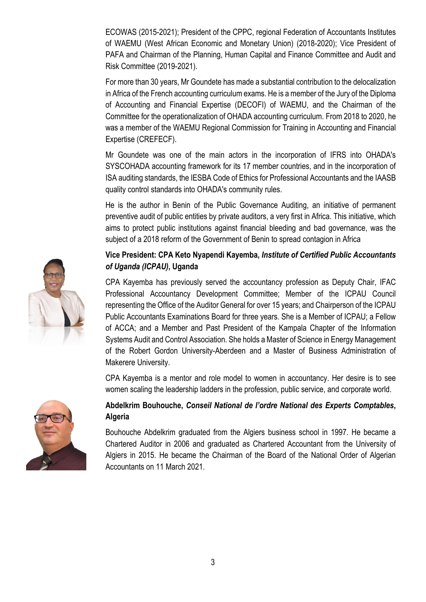ECOWAS (2015-2021); President of the CPPC, regional Federation of Accountants Institutes of WAEMU (West African Economic and Monetary Union) (2018-2020); Vice President of PAFA and Chairman of the Planning, Human Capital and Finance Committee and Audit and Risk Committee (2019-2021).

For more than 30 years, Mr Goundete has made a substantial contribution to the delocalization in Africa of the French accounting curriculum exams. He is a member of the Jury of the Diploma of Accounting and Financial Expertise (DECOFI) of WAEMU, and the Chairman of the Committee for the operationalization of OHADA accounting curriculum. From 2018 to 2020, he was a member of the WAEMU Regional Commission for Training in Accounting and Financial Expertise (CREFECF).

Mr Goundete was one of the main actors in the incorporation of IFRS into OHADA's SYSCOHADA accounting framework for its 17 member countries, and in the incorporation of ISA auditing standards, the IESBA Code of Ethics for Professional Accountants and the IAASB quality control standards into OHADA's community rules.

He is the author in Benin of the Public Governance Auditing, an initiative of permanent preventive audit of public entities by private auditors, a very first in Africa. This initiative, which aims to protect public institutions against financial bleeding and bad governance, was the subject of a 2018 reform of the Government of Benin to spread contagion in Africa

### **Vice President: CPA Keto Nyapendi Kayemba,** *Institute of Certified Public Accountants of Uganda (ICPAU)***, Uganda**

CPA Kayemba has previously served the accountancy profession as Deputy Chair, IFAC Professional Accountancy Development Committee; Member of the ICPAU Council representing the Office of the Auditor General for over 15 years; and Chairperson of the ICPAU Public Accountants Examinations Board for three years. She is a Member of ICPAU; a Fellow of ACCA; and a Member and Past President of the Kampala Chapter of the Information Systems Audit and Control Association. She holds a Master of Science in Energy Management of the Robert Gordon University-Aberdeen and a Master of Business Administration of Makerere University.

CPA Kayemba is a mentor and role model to women in accountancy. Her desire is to see women scaling the leadership ladders in the profession, public service, and corporate world.

### **Abdelkrim Bouhouche,** *Conseil National de l'ordre National des Experts Comptables***, Algeria**

Bouhouche Abdelkrim graduated from the Algiers business school in 1997. He became a Chartered Auditor in 2006 and graduated as Chartered Accountant from the University of Algiers in 2015. He became the Chairman of the Board of the National Order of Algerian Accountants on 11 March 2021.



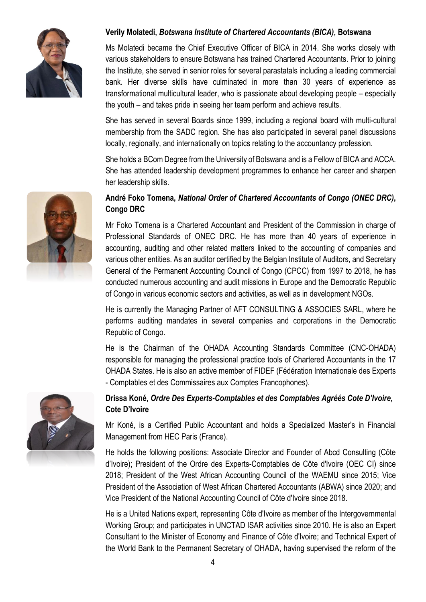

### **Verily Molatedi,** *Botswana Institute of Chartered Accountants (BICA)***, Botswana**

Ms Molatedi became the Chief Executive Officer of BICA in 2014. She works closely with various stakeholders to ensure Botswana has trained Chartered Accountants. Prior to joining the Institute, she served in senior roles for several parastatals including a leading commercial bank. Her diverse skills have culminated in more than 30 years of experience as transformational multicultural leader, who is passionate about developing people – especially the youth – and takes pride in seeing her team perform and achieve results.

She has served in several Boards since 1999, including a regional board with multi-cultural membership from the SADC region. She has also participated in several panel discussions locally, regionally, and internationally on topics relating to the accountancy profession.

She holds a BCom Degree from the University of Botswana and is a Fellow of BICA and ACCA. She has attended leadership development programmes to enhance her career and sharpen her leadership skills.

### **André Foko Tomena,** *National Order of Chartered Accountants of Congo (ONEC DRC)***, Congo DRC**

Mr Foko Tomena is a Chartered Accountant and President of the Commission in charge of Professional Standards of ONEC DRC. He has more than 40 years of experience in accounting, auditing and other related matters linked to the accounting of companies and various other entities. As an auditor certified by the Belgian Institute of Auditors, and Secretary General of the Permanent Accounting Council of Congo (CPCC) from 1997 to 2018, he has conducted numerous accounting and audit missions in Europe and the Democratic Republic of Congo in various economic sectors and activities, as well as in development NGOs.

He is currently the Managing Partner of AFT CONSULTING & ASSOCIES SARL, where he performs auditing mandates in several companies and corporations in the Democratic Republic of Congo.

He is the Chairman of the OHADA Accounting Standards Committee (CNC-OHADA) responsible for managing the professional practice tools of Chartered Accountants in the 17 OHADA States. He is also an active member of FIDEF (Fédération Internationale des Experts - Comptables et des Commissaires aux Comptes Francophones).

### **Drissa Koné,** *Ordre Des Experts-Comptables et des Comptables Agréés Cote D'Ivoire***, Cote D'Ivoire**

Mr Koné, is a Certified Public Accountant and holds a Specialized Master's in Financial Management from HEC Paris (France).

He holds the following positions: Associate Director and Founder of Abcd Consulting (Côte d'Ivoire); President of the Ordre des Experts-Comptables de Côte d'Ivoire (OEC CI) since 2018; President of the West African Accounting Council of the WAEMU since 2015; Vice President of the Association of West African Chartered Accountants (ABWA) since 2020; and Vice President of the National Accounting Council of Côte d'Ivoire since 2018.

He is a United Nations expert, representing Côte d'Ivoire as member of the Intergovernmental Working Group; and participates in UNCTAD ISAR activities since 2010. He is also an Expert Consultant to the Minister of Economy and Finance of Côte d'Ivoire; and Technical Expert of the World Bank to the Permanent Secretary of OHADA, having supervised the reform of the



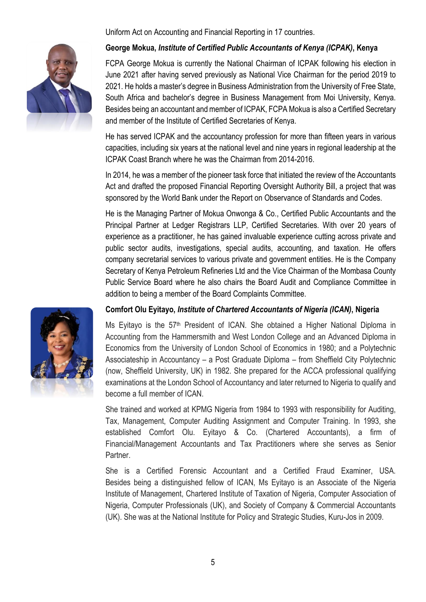Uniform Act on Accounting and Financial Reporting in 17 countries.



#### **George Mokua,** *Institute of Certified Public Accountants of Kenya (ICPAK)***, Kenya**

FCPA George Mokua is currently the National Chairman of ICPAK following his election in June 2021 after having served previously as National Vice Chairman for the period 2019 to 2021. He holds a master's degree in Business Administration from the University of Free State, South Africa and bachelor's degree in Business Management from Moi University, Kenya. Besides being an accountant and member of ICPAK, FCPA Mokua is also a Certified Secretary and member of the Institute of Certified Secretaries of Kenya.

He has served ICPAK and the accountancy profession for more than fifteen years in various capacities, including six years at the national level and nine years in regional leadership at the ICPAK Coast Branch where he was the Chairman from 2014-2016.

In 2014, he was a member of the pioneer task force that initiated the review of the Accountants Act and drafted the proposed Financial Reporting Oversight Authority Bill, a project that was sponsored by the World Bank under the Report on Observance of Standards and Codes.

He is the Managing Partner of Mokua Onwonga & Co., Certified Public Accountants and the Principal Partner at Ledger Registrars LLP, Certified Secretaries. With over 20 years of experience as a practitioner, he has gained invaluable experience cutting across private and public sector audits, investigations, special audits, accounting, and taxation. He offers company secretarial services to various private and government entities. He is the Company Secretary of Kenya Petroleum Refineries Ltd and the Vice Chairman of the Mombasa County Public Service Board where he also chairs the Board Audit and Compliance Committee in addition to being a member of the Board Complaints Committee.

#### **Comfort Olu Eyitayo,** *Institute of Chartered Accountants of Nigeria (ICAN)***, Nigeria**

Ms Eyitayo is the 57th President of ICAN. She obtained a Higher National Diploma in Accounting from the Hammersmith and West London College and an Advanced Diploma in Economics from the University of London School of Economics in 1980; and a Polytechnic Associateship in Accountancy – a Post Graduate Diploma – from Sheffield City Polytechnic (now, Sheffield University, UK) in 1982. She prepared for the ACCA professional qualifying examinations at the London School of Accountancy and later returned to Nigeria to qualify and become a full member of ICAN.

She trained and worked at KPMG Nigeria from 1984 to 1993 with responsibility for Auditing, Tax, Management, Computer Auditing Assignment and Computer Training. In 1993, she established Comfort Olu. Eyitayo & Co. (Chartered Accountants), a firm of Financial/Management Accountants and Tax Practitioners where she serves as Senior Partner.

She is a Certified Forensic Accountant and a Certified Fraud Examiner, USA. Besides being a distinguished fellow of ICAN, Ms Eyitayo is an Associate of the Nigeria Institute of Management, Chartered Institute of Taxation of Nigeria, Computer Association of Nigeria, Computer Professionals (UK), and Society of Company & Commercial Accountants (UK). She was at the National Institute for Policy and Strategic Studies, Kuru-Jos in 2009.

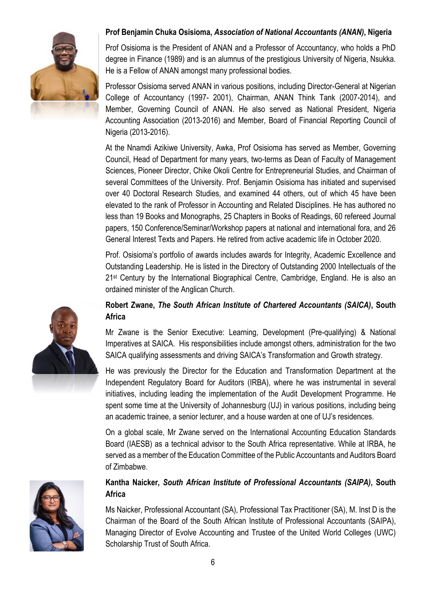

### **Prof Benjamin Chuka Osisioma,** *Association of National Accountants (ANAN)***, Nigeria**

Prof Osisioma is the President of ANAN and a Professor of Accountancy, who holds a PhD degree in Finance (1989) and is an alumnus of the prestigious University of Nigeria, Nsukka. He is a Fellow of ANAN amongst many professional bodies.

Professor Osisioma served ANAN in various positions, including Director-General at Nigerian College of Accountancy (1997- 2001), Chairman, ANAN Think Tank (2007-2014), and Member, Governing Council of ANAN. He also served as National President, Nigeria Accounting Association (2013-2016) and Member, Board of Financial Reporting Council of Nigeria (2013-2016).

At the Nnamdi Azikiwe University, Awka, Prof Osisioma has served as Member, Governing Council, Head of Department for many years, two-terms as Dean of Faculty of Management Sciences, Pioneer Director, Chike Okoli Centre for Entrepreneurial Studies, and Chairman of several Committees of the University. Prof. Benjamin Osisioma has initiated and supervised over 40 Doctoral Research Studies, and examined 44 others, out of which 45 have been elevated to the rank of Professor in Accounting and Related Disciplines. He has authored no less than 19 Books and Monographs, 25 Chapters in Books of Readings, 60 refereed Journal papers, 150 Conference/Seminar/Workshop papers at national and international fora, and 26 General Interest Texts and Papers. He retired from active academic life in October 2020.

Prof. Osisioma's portfolio of awards includes awards for Integrity, Academic Excellence and Outstanding Leadership. He is listed in the Directory of Outstanding 2000 Intellectuals of the 21<sup>st</sup> Century by the International Biographical Centre, Cambridge, England. He is also an ordained minister of the Anglican Church.

### **Robert Zwane,** *The South African Institute of Chartered Accountants (SAICA)***, South Africa**

Mr Zwane is the Senior Executive: Learning, Development (Pre-qualifying) & National Imperatives at SAICA. His responsibilities include amongst others, administration for the two SAICA qualifying assessments and driving SAICA's Transformation and Growth strategy.

He was previously the Director for the Education and Transformation Department at the Independent Regulatory Board for Auditors (IRBA), where he was instrumental in several initiatives, including leading the implementation of the Audit Development Programme. He spent some time at the University of Johannesburg (UJ) in various positions, including being an academic trainee, a senior lecturer, and a house warden at one of UJ's residences.

On a global scale, Mr Zwane served on the International Accounting Education Standards Board (IAESB) as a technical advisor to the South Africa representative. While at IRBA, he served as a member of the Education Committee of the Public Accountants and Auditors Board of Zimbabwe.

### **Kantha Naicker,** *South African Institute of Professional Accountants (SAIPA)***, South Africa**

Ms Naicker, Professional Accountant (SA), Professional Tax Practitioner (SA), M. Inst D is the Chairman of the Board of the South African Institute of Professional Accountants (SAIPA), Managing Director of Evolve Accounting and Trustee of the United World Colleges (UWC) Scholarship Trust of South Africa.



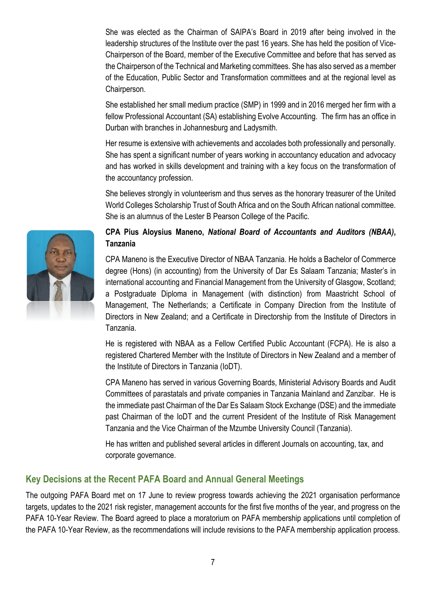She was elected as the Chairman of SAIPA's Board in 2019 after being involved in the leadership structures of the Institute over the past 16 years. She has held the position of Vice-Chairperson of the Board, member of the Executive Committee and before that has served as the Chairperson of the Technical and Marketing committees. She has also served as a member of the Education, Public Sector and Transformation committees and at the regional level as Chairperson.

She established her small medium practice (SMP) in 1999 and in 2016 merged her firm with a fellow Professional Accountant (SA) establishing Evolve Accounting. The firm has an office in Durban with branches in Johannesburg and Ladysmith.

Her resume is extensive with achievements and accolades both professionally and personally. She has spent a significant number of years working in accountancy education and advocacy and has worked in skills development and training with a key focus on the transformation of the accountancy profession.

She believes strongly in volunteerism and thus serves as the honorary treasurer of the United World Colleges Scholarship Trust of South Africa and on the South African national committee. She is an alumnus of the Lester B Pearson College of the Pacific.

### **CPA Pius Aloysius Maneno,** *National Board of Accountants and Auditors (NBAA)***, Tanzania**

CPA Maneno is the Executive Director of NBAA Tanzania. He holds a Bachelor of Commerce degree (Hons) (in accounting) from the University of Dar Es Salaam Tanzania; Master's in international accounting and Financial Management from the University of Glasgow, Scotland; a Postgraduate Diploma in Management (with distinction) from Maastricht School of Management, The Netherlands; a Certificate in Company Direction from the Institute of Directors in New Zealand; and a Certificate in Directorship from the Institute of Directors in Tanzania.

He is registered with NBAA as a Fellow Certified Public Accountant (FCPA). He is also a registered Chartered Member with the Institute of Directors in New Zealand and a member of the Institute of Directors in Tanzania (IoDT).

CPA Maneno has served in various Governing Boards, Ministerial Advisory Boards and Audit Committees of parastatals and private companies in Tanzania Mainland and Zanzibar. He is the immediate past Chairman of the Dar Es Salaam Stock Exchange (DSE) and the immediate past Chairman of the IoDT and the current President of the Institute of Risk Management Tanzania and the Vice Chairman of the Mzumbe University Council (Tanzania).

He has written and published several articles in different Journals on accounting, tax, and corporate governance.

### **Key Decisions at the Recent PAFA Board and Annual General Meetings**

The outgoing PAFA Board met on 17 June to review progress towards achieving the 2021 organisation performance targets, updates to the 2021 risk register, management accounts for the first five months of the year, and progress on the PAFA 10-Year Review. The Board agreed to place a moratorium on PAFA membership applications until completion of the PAFA 10-Year Review, as the recommendations will include revisions to the PAFA membership application process.

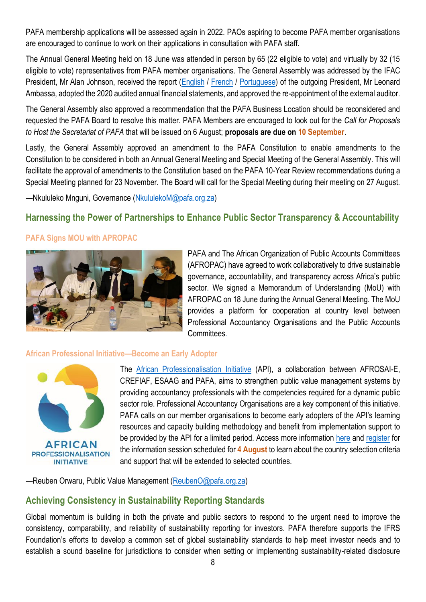PAFA membership applications will be assessed again in 2022. PAOs aspiring to become PAFA member organisations are encouraged to continue to work on their applications in consultation with PAFA staff.

The Annual General Meeting held on 18 June was attended in person by 65 (22 eligible to vote) and virtually by 32 (15 eligible to vote) representatives from PAFA member organisations. The General Assembly was addressed by the IFAC President, Mr Alan Johnson, received the report [\(English](https://pafa.org.za/sites/default/files/2021-06/20210618-AGM-President%20Report.pdf) / [French](https://pafa.org.za/sites/default/files/2021-06/20210618Fr-2021AGM-President-Report-FR.pdf) / [Portuguese\)](https://pafa.org.za/sites/default/files/2021-06/pdf20210618Pt-AGM-President%20Report-PT.pdf) of the outgoing President, Mr Leonard Ambassa, adopted the 2020 audited annual financial statements, and approved the re-appointment of the external auditor.

The General Assembly also approved a recommendation that the PAFA Business Location should be reconsidered and requested the PAFA Board to resolve this matter. PAFA Members are encouraged to look out for the *Call for Proposals to Host the Secretariat of PAFA* that will be issued on 6 August; **proposals are due on 10 September**.

Lastly, the General Assembly approved an amendment to the PAFA Constitution to enable amendments to the Constitution to be considered in both an Annual General Meeting and Special Meeting of the General Assembly. This will facilitate the approval of amendments to the Constitution based on the PAFA 10-Year Review recommendations during a Special Meeting planned for 23 November. The Board will call for the Special Meeting during their meeting on 27 August.

—Nkululeko Mnguni, Governance [\(NkululekoM@pafa.org.za\)](mailto:NkululekoM@pafa.org.za)

### **Harnessing the Power of Partnerships to Enhance Public Sector Transparency & Accountability**

#### **PAFA Signs MOU with APROPAC**



PAFA and The African Organization of Public Accounts Committees (AFROPAC) have agreed to work collaboratively to drive sustainable governance, accountability, and transparency across Africa's public sector. We signed a Memorandum of Understanding (MoU) with AFROPAC on 18 June during the Annual General Meeting. The MoU provides a platform for cooperation at country level between Professional Accountancy Organisations and the Public Accounts **Committees** 

#### **African Professional Initiative—Become an Early Adopter**



The [African Professionalisation Initiative](https://professionalisation.africa/) (API), a collaboration between AFROSAI-E, CREFIAF, ESAAG and PAFA, aims to strengthen public value management systems by providing accountancy professionals with the competencies required for a dynamic public sector role. Professional Accountancy Organisations are a key component of this initiative. PAFA calls on our member organisations to become early adopters of the API's learning resources and capacity building methodology and benefit from implementation support to be provided by the API for a limited period. Access more information [here](https://professionalisation.africa/call-for-countries-to-express-an-interest-in-api-implementation-support/) and [register](https://us02web.zoom.us/webinar/register/WN_GE8lqVTCQX-m7U0T9ijWRA) for the information session scheduled for **4 August** to learn about the country selection criteria and support that will be extended to selected countries.

—Reuben Orwaru, Public Value Management [\(ReubenO@pafa.org.za\)](mailto:ReubenO@pafa.org.za)

### **Achieving Consistency in Sustainability Reporting Standards**

Global momentum is building in both the private and public sectors to respond to the urgent need to improve the consistency, comparability, and reliability of sustainability reporting for investors. PAFA therefore supports the IFRS Foundation's efforts to develop a common set of global sustainability standards to help meet investor needs and to establish a sound baseline for jurisdictions to consider when setting or implementing sustainability-related disclosure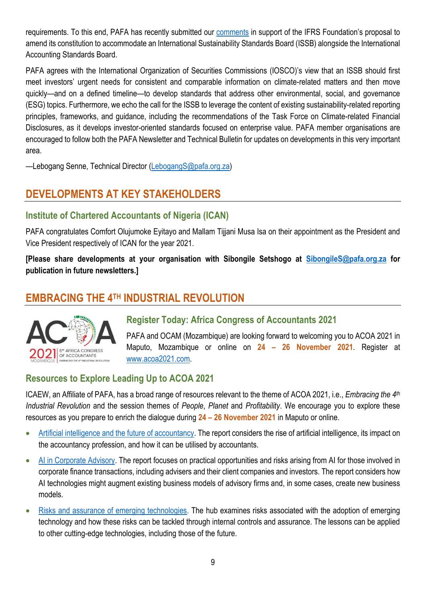requirements. To this end, PAFA has recently submitted our [comments](https://drive.google.com/file/d/1zt2OEwX-lG_GrbKiXvpp2FDVMDFmvjk2/view?usp=sharing) in support of the IFRS Foundation's proposal to amend its constitution to accommodate an International Sustainability Standards Board (ISSB) alongside the International Accounting Standards Board.

PAFA agrees with the International Organization of Securities Commissions (IOSCO)'s view that an ISSB should first meet investors' urgent needs for consistent and comparable information on climate-related matters and then move quickly—and on a defined timeline—to develop standards that address other environmental, social, and governance (ESG) topics. Furthermore, we echo the call for the ISSB to leverage the content of existing sustainability-related reporting principles, frameworks, and guidance, including the recommendations of the Task Force on Climate-related Financial Disclosures, as it develops investor-oriented standards focused on enterprise value. PAFA member organisations are encouraged to follow both the PAFA Newsletter and Technical Bulletin for updates on developments in this very important area.

—Lebogang Senne, Technical Director [\(LebogangS@pafa.org.za\)](mailto:LebogangS@pafa.org.za)

# **DEVELOPMENTS AT KEY STAKEHOLDERS**

### **Institute of Chartered Accountants of Nigeria (ICAN)**

PAFA congratulates Comfort Olujumoke Eyitayo and Mallam Tijjani Musa Isa on their appointment as the President and Vice President respectively of ICAN for the year 2021.

**[Please share developments at your organisation with Sibongile Setshogo at [SibongileS@pafa.org.za](mailto:SibongileS@pafa.org.za) for publication in future newsletters.]**

# **EMBRACING THE 4TH INDUSTRIAL REVOLUTION**



### **Register Today: Africa Congress of Accountants 2021**

PAFA and OCAM (Mozambique) are looking forward to welcoming you to ACOA 2021 in Maputo, Mozambique or online on **24 – 26 November 2021**. Register at [www.acoa2021.com.](http://www.acoa2021.com/)

### **Resources to Explore Leading Up to ACOA 2021**

ICAEW, an Affiliate of PAFA, has a broad range of resources relevant to the theme of ACOA 2021, i.e., *Embracing the 4th Industrial Revolution* and the session themes of *People*, *Planet* and *Profitability*. We encourage you to explore these resources as you prepare to enrich the dialogue during **24 – 26 November 2021** in Maputo or online.

- [Artificial intelligence and the future of accountancy.](https://protect-za.mimecast.com/s/-8CZClOkx3Ho6OQ2fYwzpq?domain=icaew.com) The report considers the rise of artificial intelligence, its impact on the accountancy profession, and how it can be utilised by accountants.
- [AI in Corporate Advisory.](https://protect-za.mimecast.com/s/JROyCmw0O3f5k1OjfNqu08?domain=icaew.com) The report focuses on practical opportunities and risks arising from AI for those involved in corporate finance transactions, including advisers and their client companies and investors. The report considers how AI technologies might augment existing business models of advisory firms and, in some cases, create new business models.
- [Risks and assurance of emerging technologies.](https://protect-za.mimecast.com/s/E6wVCnZmx3cGrl87H0CnGL?domain=icaew.com) The hub examines risks associated with the adoption of emerging technology and how these risks can be tackled through internal controls and assurance. The lessons can be applied to other cutting-edge technologies, including those of the future.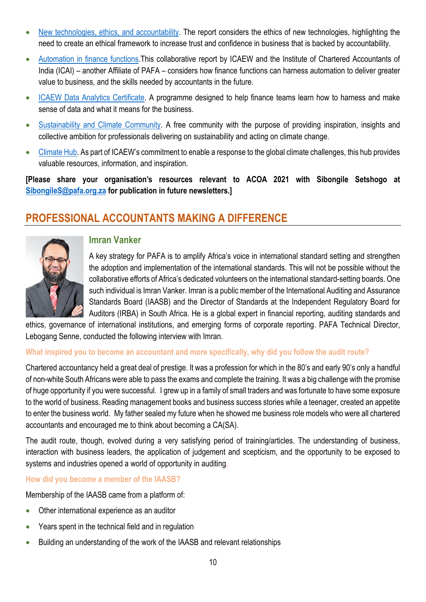- [New technologies, ethics,](https://protect-za.mimecast.com/s/-8CZClOkx3Ho6OQ2fYwzpq?domain=icaew.com) and accountability. The report considers the ethics of new technologies, highlighting the need to create an ethical framework to increase trust and confidence in business that is backed by accountability.
- [Automation in finance functions.](https://protect-za.mimecast.com/s/44fACoYnV5cX6lOrF2LzlT?domain=icaew.com)This collaborative report by ICAEW and the Institute of Chartered Accountants of India (ICAI) – another Affiliate of PAFA – considers how finance functions can harness automation to deliver greater value to business, and the skills needed by accountants in the future.
- [ICAEW Data Analytics Certificate.](https://protect-za.mimecast.com/s/-YA5Cpgo83czpQYnhvruXf?domain=icaew.com) A programme designed to help finance teams learn how to harness and make sense of data and what it means for the business.
- [Sustainability and Climate Community.](https://protect-za.mimecast.com/s/TFrXCqjp73sOJLq8tYcd9p?domain=icaew.com) A free community with the purpose of providing inspiration, insights and collective ambition for professionals delivering on sustainability and acting on climate change.
- [Climate Hub.](https://protect-za.mimecast.com/s/j2o5Cr0q83cA4wg8f67S4p?domain=icaew.com) As part of ICAEW's commitment to enable a response to the global climate challenges, this hub provides valuable resources, information, and inspiration.

**[Please share your organisation's resources relevant to ACOA 2021 with Sibongile Setshogo at [SibongileS@pafa.org.za](mailto:SibongileS@pafa.org.za) for publication in future newsletters.]**

# **PROFESSIONAL ACCOUNTANTS MAKING A DIFFERENCE**



### **Imran Vanker**

A key strategy for PAFA is to amplify Africa's voice in international standard setting and strengthen the adoption and implementation of the international standards. This will not be possible without the collaborative efforts of Africa's dedicated volunteers on the international standard-setting boards. One such individual is Imran Vanker. Imran is a public member of the International Auditing and Assurance Standards Board (IAASB) and the Director of Standards at the Independent Regulatory Board for Auditors (IRBA) in South Africa. He is a global expert in financial reporting, auditing standards and

ethics, governance of international institutions, and emerging forms of corporate reporting. PAFA Technical Director, Lebogang Senne, conducted the following interview with Imran.

### **What inspired you to become an accountant and more specifically, why did you follow the audit route?**

Chartered accountancy held a great deal of prestige. It was a profession for which in the 80's and early 90's only a handful of non-white South Africans were able to pass the exams and complete the training. It was a big challenge with the promise of huge opportunity if you were successful. I grew up in a family of small traders and was fortunate to have some exposure to the world of business. Reading management books and business success stories while a teenager, created an appetite to enter the business world. My father sealed my future when he showed me business role models who were all chartered accountants and encouraged me to think about becoming a CA(SA).

The audit route, though, evolved during a very satisfying period of training/articles. The understanding of business, interaction with business leaders, the application of judgement and scepticism, and the opportunity to be exposed to systems and industries opened a world of opportunity in auditing.

#### **How did you become a member of the IAASB?**

Membership of the IAASB came from a platform of:

- Other international experience as an auditor
- Years spent in the technical field and in regulation
- Building an understanding of the work of the IAASB and relevant relationships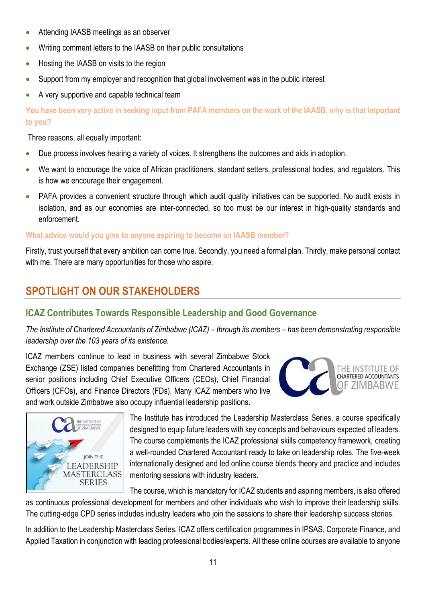- Attending IAASB meetings as an observer
- Writing comment letters to the IAASB on their public consultations
- Hosting the IAASB on visits to the region
- Support from my employer and recognition that global involvement was in the public interest
- A very supportive and capable technical team

**You have been very active in seeking input from PAFA members on the work of the IAASB, why is that important to you?**

Three reasons, all equally important:

- Due process involves hearing a variety of voices. It strengthens the outcomes and aids in adoption.
- We want to encourage the voice of African practitioners, standard setters, professional bodies, and regulators. This is how we encourage their engagement.
- PAFA provides a convenient structure through which audit quality initiatives can be supported. No audit exists in isolation, and as our economies are inter-connected, so too must be our interest in high-quality standards and enforcement.

### **What advice would you give to anyone aspiring to become an IAASB member?**

Firstly, trust yourself that every ambition can come true. Secondly, you need a formal plan. Thirdly, make personal contact with me. There are many opportunities for those who aspire.

# **SPOTLIGHT ON OUR STAKEHOLDERS**

## **ICAZ Contributes Towards Responsible Leadership and Good Governance**

*The Institute of Chartered Accountants of Zimbabwe (ICAZ) – through its members – has been demonstrating responsible leadership over the 103 years of its existence.*

ICAZ members continue to lead in business with several Zimbabwe Stock Exchange (ZSE) listed companies benefitting from Chartered Accountants in senior positions including Chief Executive Officers (CEOs), Chief Financial Officers (CFOs), and Finance Directors (FDs). Many ICAZ members who live and work outside Zimbabwe also occupy influential leadership positions.





The Institute has introduced the Leadership Masterclass Series, a course specifically designed to equip future leaders with key concepts and behaviours expected of leaders. The course complements the ICAZ professional skills competency framework, creating a well-rounded Chartered Accountant ready to take on leadership roles. The five-week internationally designed and led online course blends theory and practice and includes mentoring sessions with industry leaders.

The course, which is mandatory for ICAZ students and aspiring members, is also offered

as continuous professional development for members and other individuals who wish to improve their leadership skills. The cutting-edge CPD series includes industry leaders who join the sessions to share their leadership success stories.

In addition to the Leadership Masterclass Series, ICAZ offers certification programmes in IPSAS, Corporate Finance, and Applied Taxation in conjunction with leading professional bodies/experts. All these online courses are available to anyone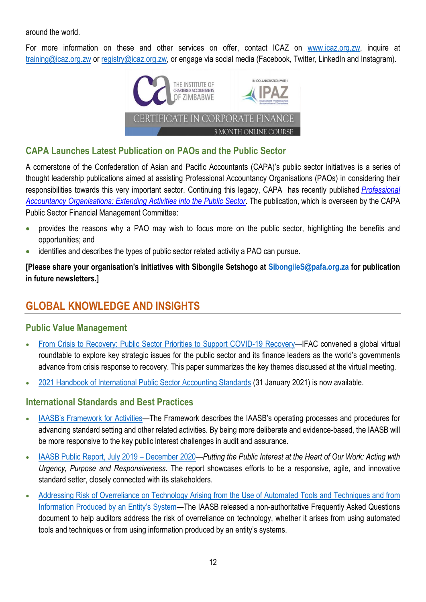around the world.

For more information on these and other services on offer, contact ICAZ on [www.icaz.org.zw,](http://www.icaz.org.zw/) inquire at [training@icaz.org.zw](mailto:training@icaz.org.zw) or [registry@icaz.org.zw,](mailto:registry@icaz.org.zw) or engage via social media (Facebook, Twitter, LinkedIn and Instagram).



### **CAPA Launches Latest Publication on PAOs and the Public Sector**

A cornerstone of the Confederation of Asian and Pacific Accountants (CAPA)'s public sector initiatives is a series of thought leadership publications aimed at assisting Professional Accountancy Organisations (PAOs) in considering their responsibilities towards this very important sector. Continuing this legacy, CAPA has recently published *[Professional](https://protect-za.mimecast.com/s/vwluCr0q83cA10GYf7J9X7?domain=capa.com.my)  [Accountancy Organisations: Extending Activities into the Public Sector](https://protect-za.mimecast.com/s/vwluCr0q83cA10GYf7J9X7?domain=capa.com.my)*. The publication, which is overseen by the CAPA Public Sector Financial Management Committee:

- provides the reasons why a PAO may wish to focus more on the public sector, highlighting the benefits and opportunities; and
- identifies and describes the types of public sector related activity a PAO can pursue.

**[Please share your organisation's initiatives with Sibongile Setshogo at [SibongileS@pafa.org.za](mailto:SibongileS@pafa.org.za) for publication in future newsletters.]**

# **GLOBAL KNOWLEDGE AND INSIGHTS**

### **Public Value Management**

- [From Crisis to Recovery: Public Sector Priorities to Support COVID-19 Recovery](https://protect-za.mimecast.com/s/2bsDCVm2AESlk8zWUG9JYa6?domain=ifac.org)—IFAC convened a global virtual roundtable to explore key strategic issues for the public sector and its finance leaders as the world's governments advance from crisis response to recovery. This paper summarizes the key themes discussed at the virtual meeting.
- [2021 Handbook of International Public Sector Accounting Standards](https://protect-za.mimecast.com/s/cWh8CWnKLGsjX8NMf6AggTM?domain=ipsasb.org) (31 January 2021) is now available.

### **International Standards and Best Practices**

- [IAASB's Framework for Activities—](https://protect-za.mimecast.com/s/r802CO7XMwsAZkE7cE89AXL?domain=iaasb.org)The Framework describes the IAASB's operating processes and procedures for advancing standard setting and other related activities. By being more deliberate and evidence-based, the IAASB will be more responsive to the key public interest challenges in audit and assurance.
- [IAASB Public Report,](https://protect-za.mimecast.com/s/1j4WCQ1Knyf6lLJ2ixLvKm1?domain=iaasb.org) July 2019 December 2020—*Putting the Public Interest at the Heart of Our Work: Acting with Urgency, Purpose and Responsiveness***.** The report showcases efforts to be a responsive, agile, and innovative standard setter, closely connected with its stakeholders.
- [Addressing Risk of Overreliance on Technology Arising from the Use of Automated](https://protect-za.mimecast.com/s/Ta9rCRgKOzcr0XyMf9gauWX?domain=iaasb.org) Tools and Techniques and from [Information Produced by an Entity's System—](https://protect-za.mimecast.com/s/Ta9rCRgKOzcr0XyMf9gauWX?domain=iaasb.org)The IAASB released a non-authoritative Frequently Asked Questions document to help auditors address the risk of overreliance on technology, whether it arises from using automated tools and techniques or from using information produced by an entity's systems.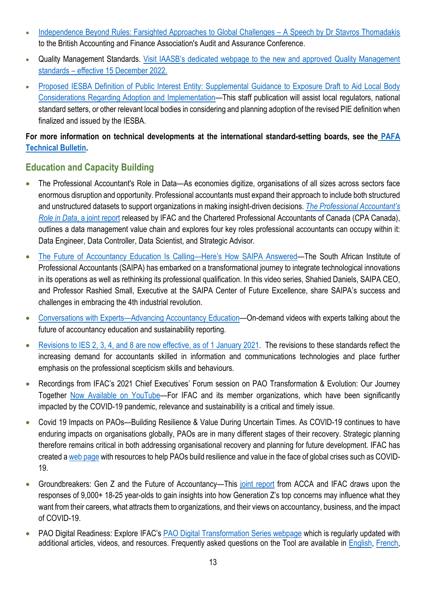- [Independence Beyond Rules: Farsighted Approaches to Global Challenges](https://protect-za.mimecast.com/s/5yRTCDRZ1gFBJZDEHWxjrvd?domain=ethicsboard.org)  A Speech by Dr Stavros Thomadakis to the British Accounting and Finance Association's Audit and Assurance Conference.
- Quality Management Standards. [Visit IAASB's dedicated webpage to the new and approved Quality Management](https://protect-za.mimecast.com/s/Y_ZbCAnXNVs9l5GwTk8Wsy?domain=iaasb.org)  standards – effective 15 [December 2022.](https://protect-za.mimecast.com/s/Y_ZbCAnXNVs9l5GwTk8Wsy?domain=iaasb.org)
- [Proposed IESBA Definition of Public Interest Entity: Supplemental Guidance to Exposure Draft to Aid Local Body](https://protect-za.mimecast.com/s/Ame5CElX8jIW0jkvcNDXzGv?domain=ethicsboard.org)  [Considerations Regarding Adoption and Implementation](https://protect-za.mimecast.com/s/Ame5CElX8jIW0jkvcNDXzGv?domain=ethicsboard.org)—This staff publication will assist local regulators, national standard setters, or other relevant local bodies in considering and planning adoption of the revised PIE definition when finalized and issued by the IESBA.

### **For more information on technical developments at the international standard-setting boards, see the [PAFA](https://drive.google.com/file/d/151dSaj_fBz75UOMTLCbvyZzNs3gnuO2_/view?usp=sharing)  [Technical Bulletin](https://drive.google.com/file/d/151dSaj_fBz75UOMTLCbvyZzNs3gnuO2_/view?usp=sharing).**

### **Education and Capacity Building**

- The Professional Accountant's Role in Data—As economies digitize, organisations of all sizes across sectors face enormous disruption and opportunity. Professional accountants must expand their approach to include both structured and unstructured datasets to support organizations in making insight-driven decisions. *[The Professional Accountant's](https://protect-za.mimecast.com/s/W6SdCxGzn3TJRjP7H79tL9?domain=ifac.org)  Role in Data*[, a joint report](https://protect-za.mimecast.com/s/W6SdCxGzn3TJRjP7H79tL9?domain=ifac.org) released by IFAC and the Chartered Professional Accountants of Canada (CPA Canada), outlines a data management value chain and explores four key roles professional accountants can occupy within it: Data Engineer, Data Controller, Data Scientist, and Strategic Advisor.
- [The Future of Accountancy Education Is Calling](https://protect-za.mimecast.com/s/yGIhCJZKyoc8Aog6TV7lepY?domain=ifac.org)—Here's How SAIPA Answered—The South African Institute of Professional Accountants (SAIPA) has embarked on a transformational journey to integrate technological innovations in its operations as well as rethinking its professional qualification. In this video series, Shahied Daniels, SAIPA CEO, and Professor Rashied Small, Executive at the SAIPA Center of Future Excellence, share SAIPA's success and challenges in embracing the 4th industrial revolution.
- Conversations with Experts—[Advancing Accountancy Education](https://protect-za.mimecast.com/s/SY-CCKO71pHqMkZXTM8ZUst?domain=youtube.com)—On-demand videos with experts talking about the future of accountancy education and sustainability reporting.
- [Revisions to IES 2, 3, 4, and 8 are now effective, as of](https://protect-za.mimecast.com/s/BrswCLg17qcPw2lGsBX9io5?domain=education.ifac.org) 1 January 2021. The revisions to these standards reflect the increasing demand for accountants skilled in information and communications technologies and place further emphasis on the professional scepticism skills and behaviours.
- Recordings from IFAC's 2021 Chief Executives' Forum session on PAO Transformation & Evolution: Our Journey Together [Now Available on YouTube](https://protect-za.mimecast.com/s/pFxVCzm4v3SRwzOki1VSD9?domain=youtube.com)—For IFAC and its member organizations, which have been significantly impacted by the COVID-19 pandemic, relevance and sustainability is a critical and timely issue.
- Covid 19 Impacts on PAOs—Building Resilience & Value During Uncertain Times. As COVID-19 continues to have enduring impacts on organisations globally, PAOs are in many different stages of their recovery. Strategic planning therefore remains critical in both addressing organisational recovery and planning for future development. IFAC has created [a web page](https://www.ifac.org/knowledge-gateway/developing-accountancy-profession/discussion/building-resilience-value-during-uncertain-times-taking-your-pao-crisis-recovery) with resources to help PAOs build resilience and value in the face of global crises such as COVID-19.
- Groundbreakers: Gen Z and the Future of Accountancy—This [joint report](https://protect-za.mimecast.com/s/m78HCwjyV3sLVngqFRYf9F?domain=ifac.org) from ACCA and IFAC draws upon the responses of 9,000+ 18-25 year-olds to gain insights into how Generation Z's top concerns may influence what they want from their careers, what attracts them to organizations, and their views on accountancy, business, and the impact of COVID-19.
- PAO Digital Readiness: Explore IFAC's [PAO Digital Transformation Series webpage](https://protect-za.mimecast.com/s/JacbCg5DZ3slwJ4oUmF2BA?domain=ifac.org) which is regularly updated with additional articles, videos, and resources. Frequently asked questions on the Tool are available in [English,](https://protect-za.mimecast.com/s/74g7Cj2gZ3hjG0ZBfLVM0C?domain=ifac.org) [French,](https://protect-za.mimecast.com/s/RcSgCk5j83snXvoKs2ES5lU?domain=ifac.org)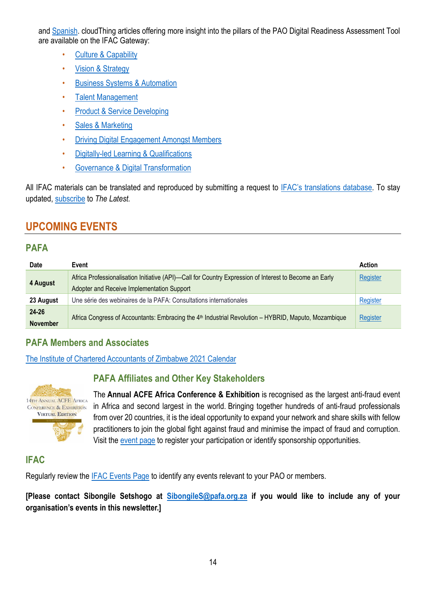and [Spanish.](https://protect-za.mimecast.com/s/5k0gClOkx3HoPl6VFGGvrJu?domain=ifac.org) cloudThing articles offering more insight into the pillars of the PAO Digital Readiness Assessment Tool are available on the IFAC Gateway:

- [Culture & Capability](https://protect-za.mimecast.com/s/uksCCmw0O3f5PqkguGOGSRt?domain=ifac.org)
- [Vision & Strategy](https://protect-za.mimecast.com/s/gb4cCnZmx3cG3VrPc9NIkb1?domain=ifac.org)
- [Business Systems & Automation](https://protect-za.mimecast.com/s/r8_WCoYnV5cXPm6gu16dz6p?domain=ifac.org)
- [Talent Management](https://protect-za.mimecast.com/s/6_29Cpgo83czOZpVIPJ5BrF?domain=ifac.org)
- [Product & Service Developing](https://protect-za.mimecast.com/s/Lv1tCqjp73sOkvJEIZrHzlk?domain=ifac.org)
- [Sales & Marketing](https://protect-za.mimecast.com/s/CE0BCr0q83cAnO4kc7G2cw1?domain=ifac.org)
- [Driving Digital Engagement Amongst Members](https://protect-za.mimecast.com/s/9OhRCvgxl3cWLZrYcQ8ZKYq?domain=ifac.org)
- [Digitally-led Learning & Qualifications](https://protect-za.mimecast.com/s/wbuYCwjyV3sLVngqFVRvIsa?domain=ifac.org)
- [Governance & Digital Transformation](https://protect-za.mimecast.com/s/OqmGCxGzn3TJRjP7H87IkRP?domain=ifac.org)

All IFAC materials can be translated and reproduced by submitting a request to [IFAC's translations](https://protect-za.mimecast.com/s/6vgvCKO71pHqqmO9fMD0OQ?domain=ifac.org) database. To stay updated, [subscribe](https://protect-za.mimecast.com/s/DnSSCLg17qcPP4KXuqF8PO?domain=ifac.org) to *The Latest.*

# **UPCOMING EVENTS**

### **PAFA**

| <b>Date</b>     | Event                                                                                                            | <b>Action</b> |
|-----------------|------------------------------------------------------------------------------------------------------------------|---------------|
| 4 August        | Africa Professionalisation Initiative (API)—Call for Country Expression of Interest to Become an Early           | Register      |
|                 | Adopter and Receive Implementation Support                                                                       |               |
| 23 August       | Une série des webinaires de la PAFA: Consultations internationales                                               | Register      |
| $24 - 26$       | Africa Congress of Accountants: Embracing the 4 <sup>th</sup> Industrial Revolution - HYBRID, Maputo, Mozambique | Register      |
| <b>November</b> |                                                                                                                  |               |

### **PAFA Members and Associates**

[The Institute of Chartered Accountants of Zimbabwe 2021 Calendar](https://www.icaz.org.zw/imisDocs/ICAZ%202021%20CALENDAR%20fin.pdf)



# **PAFA Affiliates and Other Key Stakeholders**

The **Annual ACFE Africa Conference & Exhibition** is recognised as the largest anti-fraud event in Africa and second largest in the world. Bringing together hundreds of anti-fraud professionals from over 20 countries, it is the ideal opportunity to expand your network and share skills with fellow practitioners to join the global fight against fraud and minimise the impact of fraud and corruption. Visit the [event page](https://acfesaconf.floor.bz/) to register your participation or identify sponsorship opportunities.

## **IFAC**

Regularly review the [IFAC Events Page](https://www.ifac.org/events) to identify any events relevant to your PAO or members.

**[Please contact Sibongile Setshogo at [SibongileS@pafa.org.za](mailto:SibongileS@pafa.org.za) if you would like to include any of your organisation's events in this newsletter.]**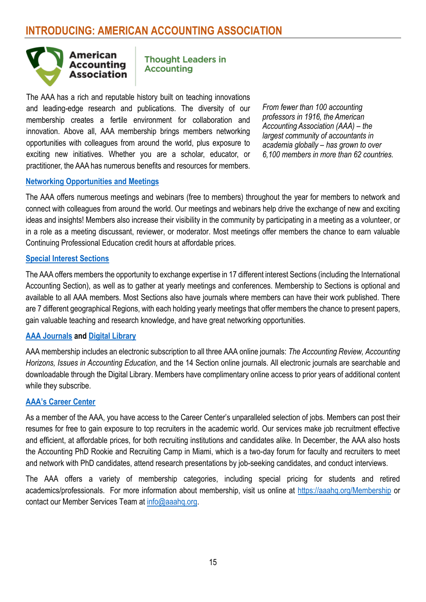

**Thought Leaders in Accounting** 

The AAA has a rich and reputable history built on teaching innovations and leading-edge research and publications. The diversity of our membership creates a fertile environment for collaboration and innovation. Above all, AAA membership brings members networking opportunities with colleagues from around the world, plus exposure to exciting new initiatives. Whether you are a scholar, educator, or practitioner, the AAA has numerous benefits and resources for members.

*From fewer than 100 accounting professors in 1916, the American Accounting Association (AAA) – the largest community of accountants in academia globally – has grown to over 6,100 members in more than 62 countries.*

### **[Networking Opportunities and Meetings](http://aaahq.org/Meetings)**

The AAA offers numerous meetings and webinars (free to members) throughout the year for members to network and connect with colleagues from around the world. Our meetings and webinars help drive the exchange of new and exciting ideas and insights! Members also increase their visibility in the community by participating in a meeting as a volunteer, or in a role as a meeting discussant, reviewer, or moderator. Most meetings offer members the chance to earn valuable Continuing Professional Education credit hours at affordable prices.

#### **[Special Interest Sections](https://aaahq.org/Sections-Regions)**

The AAA offers members the opportunity to exchange expertise in 17 different interest Sections (including the International Accounting Section), as well as to gather at yearly meetings and conferences. Membership to Sections is optional and available to all AAA members. Most Sections also have journals where members can have their work published. There are 7 different geographical Regions, with each holding yearly meetings that offer members the chance to present papers, gain valuable teaching and research knowledge, and have great networking opportunities.

### **[AAA Journals](https://aaahq.org/Research/Journals) and [Digital Library](https://meridian.allenpress.com/aaa)**

AAA membership includes an electronic subscription to all three AAA online journals: *The Accounting Review, Accounting Horizons, Issues in Accounting Education*, and the 14 Section online journals. All electronic journals are searchable and downloadable through the Digital Library. Members have complimentary online access to prior years of additional content while they subscribe.

#### **[AAA's Career Center](https://aaahq.org/Career-Center)**

As a member of the AAA, you have access to the Career Center's unparalleled selection of jobs. Members can post their resumes for free to gain exposure to top recruiters in the academic world. Our services make job recruitment effective and efficient, at affordable prices, for both recruiting institutions and candidates alike. In December, the AAA also hosts the Accounting PhD Rookie and Recruiting Camp in Miami, which is a two-day forum for faculty and recruiters to meet and network with PhD candidates, attend research presentations by job-seeking candidates, and conduct interviews.

The AAA offers a variety of membership categories, including special pricing for students and retired academics/professionals. For more information about membership, visit us online at<https://aaahq.org/Membership> or contact our Member Services Team at [info@aaahq.org.](mailto:info@aaahq.org)